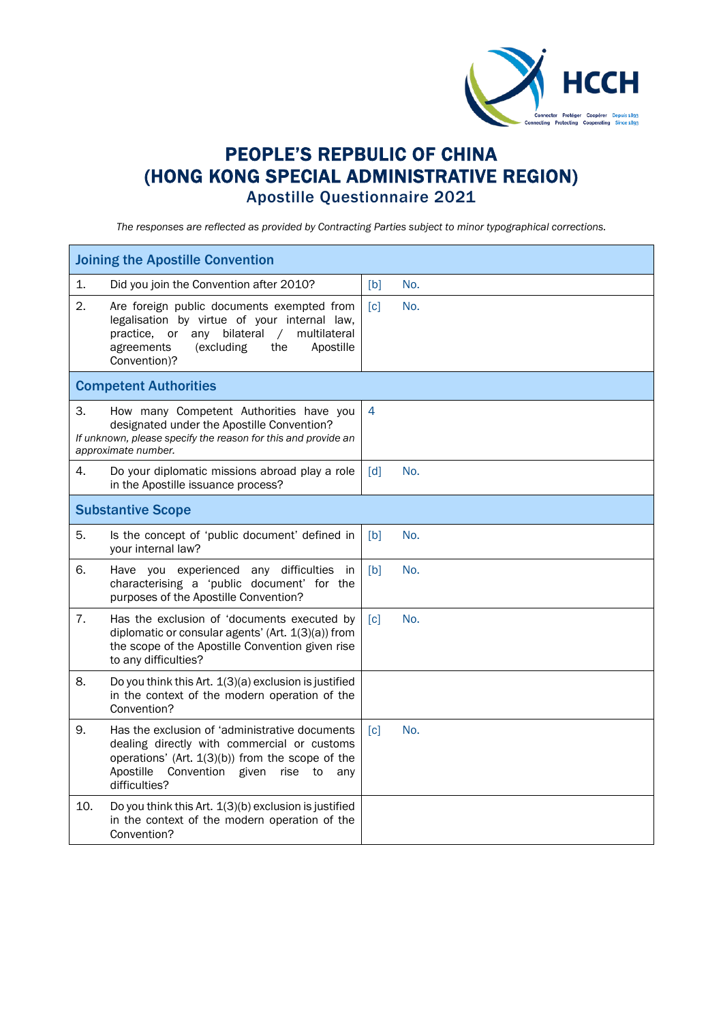

## PEOPLE'S REPBULIC OF CHINA (HONG KONG SPECIAL ADMINISTRATIVE REGION) Apostille Questionnaire 2021

*The responses are reflected as provided by Contracting Parties subject to minor typographical corrections.*

| <b>Joining the Apostille Convention</b> |                                                                                                                                                                                                                          |                   |     |  |  |
|-----------------------------------------|--------------------------------------------------------------------------------------------------------------------------------------------------------------------------------------------------------------------------|-------------------|-----|--|--|
| 1.                                      | Did you join the Convention after 2010?                                                                                                                                                                                  | [b]               | No. |  |  |
| 2.                                      | Are foreign public documents exempted from<br>legalisation by virtue of your internal law,<br>practice, or any bilateral<br>multilateral<br>$\sqrt{2}$<br>agreements<br>(excluding<br>the<br>Apostille<br>Convention)?   | $\lceil c \rceil$ | No. |  |  |
|                                         | <b>Competent Authorities</b>                                                                                                                                                                                             |                   |     |  |  |
| 3.                                      | How many Competent Authorities have you<br>designated under the Apostille Convention?<br>If unknown, please specify the reason for this and provide an<br>approximate number.                                            | $\overline{4}$    |     |  |  |
| 4.                                      | Do your diplomatic missions abroad play a role<br>in the Apostille issuance process?                                                                                                                                     | [d]               | No. |  |  |
| <b>Substantive Scope</b>                |                                                                                                                                                                                                                          |                   |     |  |  |
| 5.                                      | Is the concept of 'public document' defined in<br>your internal law?                                                                                                                                                     | [b]               | No. |  |  |
| 6.                                      | Have you experienced any difficulties in<br>characterising a 'public document' for the<br>purposes of the Apostille Convention?                                                                                          | [b]               | No. |  |  |
| 7.                                      | Has the exclusion of 'documents executed by<br>diplomatic or consular agents' (Art. 1(3)(a)) from<br>the scope of the Apostille Convention given rise<br>to any difficulties?                                            | $\lceil c \rceil$ | No. |  |  |
| 8.                                      | Do you think this Art. 1(3)(a) exclusion is justified<br>in the context of the modern operation of the<br>Convention?                                                                                                    |                   |     |  |  |
| 9.                                      | Has the exclusion of 'administrative documents<br>dealing directly with commercial or customs<br>operations' (Art. 1(3)(b)) from the scope of the<br>Apostille<br>Convention given<br>rise<br>to<br>any<br>difficulties? | $\lceil c \rceil$ | No. |  |  |
| 10.                                     | Do you think this Art. 1(3)(b) exclusion is justified<br>in the context of the modern operation of the<br>Convention?                                                                                                    |                   |     |  |  |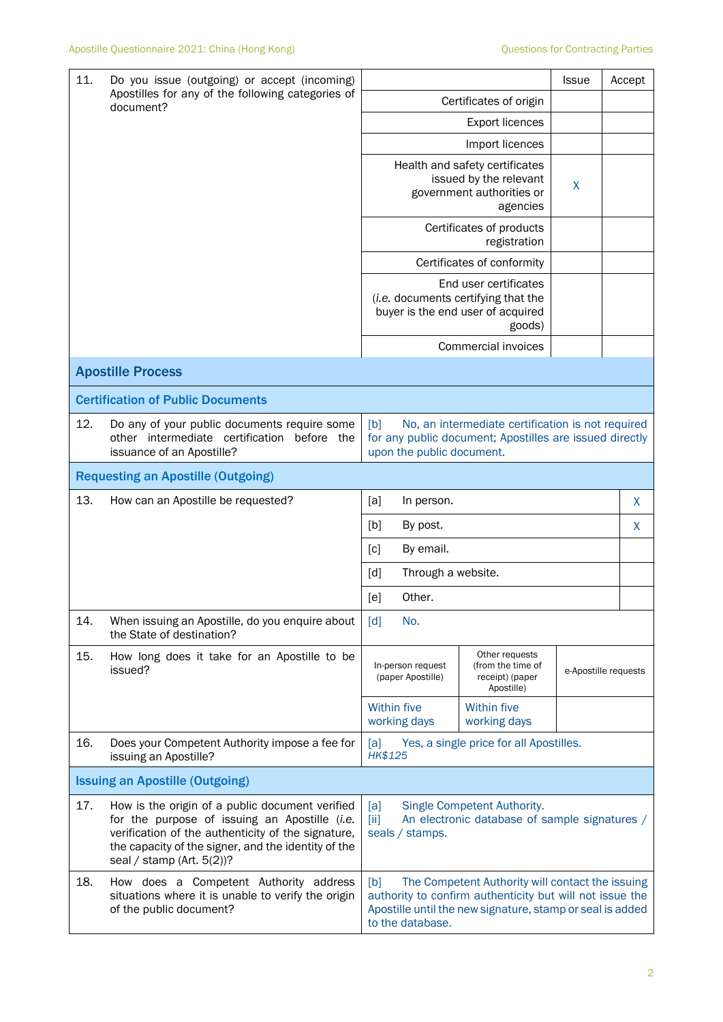| 11.<br>Do you issue (outgoing) or accept (incoming) |                                                                                                                                                                                                                                               |                                                                                                                                                                                                      |                                                                      | Issue                | Accept |   |
|-----------------------------------------------------|-----------------------------------------------------------------------------------------------------------------------------------------------------------------------------------------------------------------------------------------------|------------------------------------------------------------------------------------------------------------------------------------------------------------------------------------------------------|----------------------------------------------------------------------|----------------------|--------|---|
|                                                     | Apostilles for any of the following categories of<br>document?                                                                                                                                                                                | Certificates of origin                                                                                                                                                                               |                                                                      |                      |        |   |
|                                                     |                                                                                                                                                                                                                                               |                                                                                                                                                                                                      |                                                                      |                      |        |   |
|                                                     |                                                                                                                                                                                                                                               | Import licences                                                                                                                                                                                      |                                                                      |                      |        |   |
|                                                     |                                                                                                                                                                                                                                               | Health and safety certificates<br>issued by the relevant<br>government authorities or                                                                                                                | X                                                                    |                      |        |   |
|                                                     |                                                                                                                                                                                                                                               | Certificates of products                                                                                                                                                                             |                                                                      |                      |        |   |
|                                                     |                                                                                                                                                                                                                                               |                                                                                                                                                                                                      | Certificates of conformity                                           |                      |        |   |
|                                                     |                                                                                                                                                                                                                                               | End user certificates<br>(i.e. documents certifying that the<br>buyer is the end user of acquired                                                                                                    |                                                                      |                      |        |   |
|                                                     |                                                                                                                                                                                                                                               |                                                                                                                                                                                                      | Commercial invoices                                                  |                      |        |   |
|                                                     | <b>Apostille Process</b>                                                                                                                                                                                                                      |                                                                                                                                                                                                      |                                                                      |                      |        |   |
|                                                     | <b>Certification of Public Documents</b>                                                                                                                                                                                                      |                                                                                                                                                                                                      |                                                                      |                      |        |   |
| 12.                                                 | Do any of your public documents require some<br>other intermediate certification before the<br>issuance of an Apostille?                                                                                                                      | [b]<br>No, an intermediate certification is not required<br>for any public document; Apostilles are issued directly<br>upon the public document.                                                     |                                                                      |                      |        |   |
| <b>Requesting an Apostille (Outgoing)</b>           |                                                                                                                                                                                                                                               |                                                                                                                                                                                                      |                                                                      |                      |        |   |
| 13.                                                 | How can an Apostille be requested?                                                                                                                                                                                                            | [a]<br>In person.                                                                                                                                                                                    |                                                                      |                      |        | X |
|                                                     |                                                                                                                                                                                                                                               | [b]<br>By post.<br>X                                                                                                                                                                                 |                                                                      |                      |        |   |
|                                                     |                                                                                                                                                                                                                                               | By email.<br>[c]                                                                                                                                                                                     |                                                                      |                      |        |   |
|                                                     |                                                                                                                                                                                                                                               | [d]                                                                                                                                                                                                  | Through a website.                                                   |                      |        |   |
|                                                     |                                                                                                                                                                                                                                               | Other.<br>[e]                                                                                                                                                                                        |                                                                      |                      |        |   |
| 14.                                                 | When issuing an Apostille, do you enquire about<br>the State of destination?                                                                                                                                                                  | No.<br>$\lceil d \rceil$                                                                                                                                                                             |                                                                      |                      |        |   |
| 15.                                                 | How long does it take for an Apostille to be<br>issued?                                                                                                                                                                                       | In-person request<br>(paper Apostille)                                                                                                                                                               | Other requests<br>(from the time of<br>receipt) (paper<br>Apostille) | e-Apostille requests |        |   |
|                                                     |                                                                                                                                                                                                                                               | Within five<br>working days                                                                                                                                                                          | Within five<br>working days                                          |                      |        |   |
| 16.                                                 | Does your Competent Authority impose a fee for<br>issuing an Apostille?                                                                                                                                                                       | Yes, a single price for all Apostilles.<br>[a]<br>HK\$125                                                                                                                                            |                                                                      |                      |        |   |
| <b>Issuing an Apostille (Outgoing)</b>              |                                                                                                                                                                                                                                               |                                                                                                                                                                                                      |                                                                      |                      |        |   |
| 17.                                                 | How is the origin of a public document verified<br>for the purpose of issuing an Apostille (i.e.<br>verification of the authenticity of the signature,<br>the capacity of the signer, and the identity of the<br>seal / stamp (Art. $5(2)$ )? | Single Competent Authority.<br>[a]<br>An electronic database of sample signatures /<br>$\left[\text{iii}\right]$<br>seals / stamps.                                                                  |                                                                      |                      |        |   |
| 18.                                                 | How does a Competent Authority address<br>situations where it is unable to verify the origin<br>of the public document?                                                                                                                       | [b]<br>The Competent Authority will contact the issuing<br>authority to confirm authenticity but will not issue the<br>Apostille until the new signature, stamp or seal is added<br>to the database. |                                                                      |                      |        |   |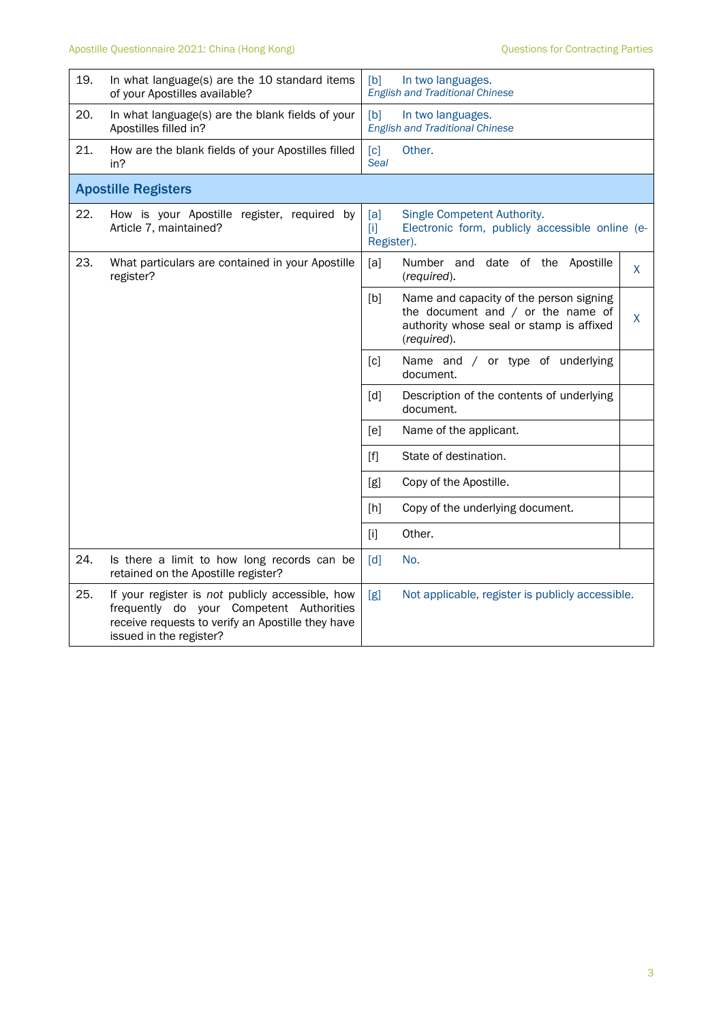| 19.                        | In what language(s) are the 10 standard items<br>of your Apostilles available?                                                                                               | [b]<br>In two languages.<br><b>English and Traditional Chinese</b> |                                                                                                                                           |    |
|----------------------------|------------------------------------------------------------------------------------------------------------------------------------------------------------------------------|--------------------------------------------------------------------|-------------------------------------------------------------------------------------------------------------------------------------------|----|
| 20.                        | In what language(s) are the blank fields of your<br>Apostilles filled in?                                                                                                    | [b]<br>In two languages.<br><b>English and Traditional Chinese</b> |                                                                                                                                           |    |
| 21.                        | How are the blank fields of your Apostilles filled<br>in?                                                                                                                    | $\lceil c \rceil$<br><b>Seal</b>                                   | Other.                                                                                                                                    |    |
| <b>Apostille Registers</b> |                                                                                                                                                                              |                                                                    |                                                                                                                                           |    |
| 22.                        | How is your Apostille register, required by<br>Article 7, maintained?                                                                                                        | [a]<br>$[1]$<br>Register).                                         | Single Competent Authority.<br>Electronic form, publicly accessible online (e-                                                            |    |
| 23.                        | What particulars are contained in your Apostille<br>register?                                                                                                                | [a]                                                                | Number and date of the Apostille<br>(required).                                                                                           | X. |
|                            |                                                                                                                                                                              | [b]                                                                | Name and capacity of the person signing<br>the document and $/$ or the name of<br>authority whose seal or stamp is affixed<br>(required). | X  |
|                            |                                                                                                                                                                              | [c]                                                                | Name and / or type of underlying<br>document.                                                                                             |    |
|                            |                                                                                                                                                                              | $\lceil d \rceil$                                                  | Description of the contents of underlying<br>document.                                                                                    |    |
|                            |                                                                                                                                                                              | [ <sub>e</sub> ]                                                   | Name of the applicant.                                                                                                                    |    |
|                            |                                                                                                                                                                              | [f]                                                                | State of destination.                                                                                                                     |    |
|                            |                                                                                                                                                                              | [g]                                                                | Copy of the Apostille.                                                                                                                    |    |
|                            |                                                                                                                                                                              | [h]                                                                | Copy of the underlying document.                                                                                                          |    |
|                            |                                                                                                                                                                              | $[1]$                                                              | Other.                                                                                                                                    |    |
| 24.                        | Is there a limit to how long records can be<br>retained on the Apostille register?                                                                                           | [d]                                                                | No.                                                                                                                                       |    |
| 25.                        | If your register is not publicly accessible, how<br>frequently do your Competent Authorities<br>receive requests to verify an Apostille they have<br>issued in the register? | [g]<br>Not applicable, register is publicly accessible.            |                                                                                                                                           |    |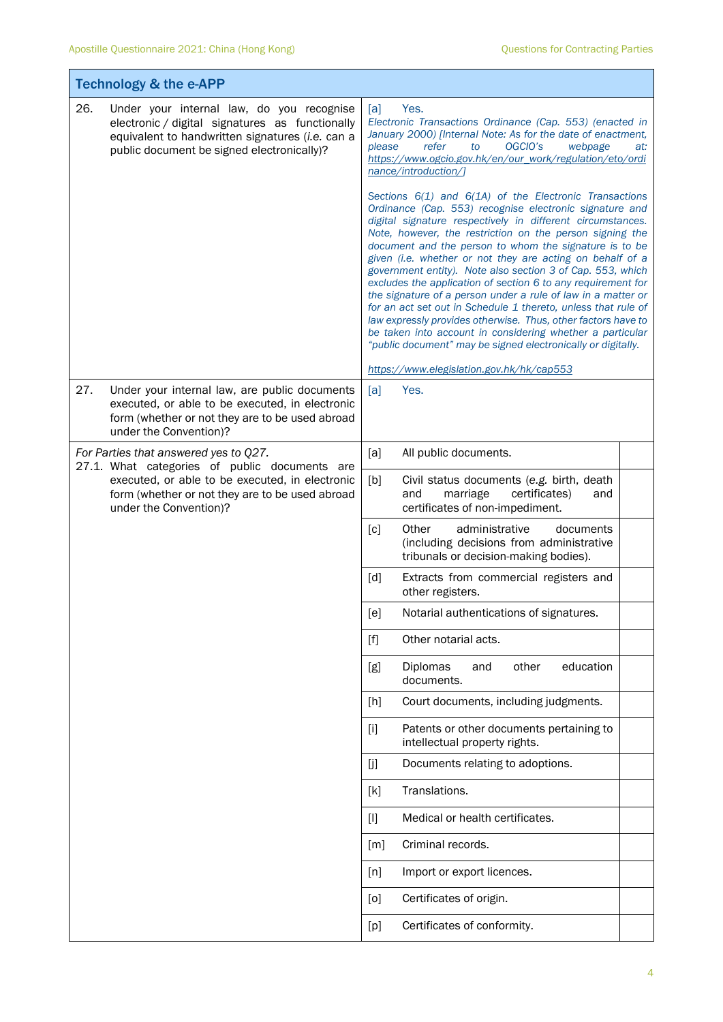| <b>Technology &amp; the e-APP</b>                                                                                                                                                                     |                                                                                                                                                                                                                                                                                                                                                                                                                                                                                                                                                                                                                                                                                                                                                                                                                                     |  |  |  |
|-------------------------------------------------------------------------------------------------------------------------------------------------------------------------------------------------------|-------------------------------------------------------------------------------------------------------------------------------------------------------------------------------------------------------------------------------------------------------------------------------------------------------------------------------------------------------------------------------------------------------------------------------------------------------------------------------------------------------------------------------------------------------------------------------------------------------------------------------------------------------------------------------------------------------------------------------------------------------------------------------------------------------------------------------------|--|--|--|
| 26.<br>Under your internal law, do you recognise<br>electronic / digital signatures as functionally<br>equivalent to handwritten signatures (i.e. can a<br>public document be signed electronically)? | Yes.<br>[a]<br>Electronic Transactions Ordinance (Cap. 553) (enacted in<br>January 2000) [Internal Note: As for the date of enactment,<br>please<br>refer<br>OGCIO's<br>webpage<br>to<br>at:<br>https://www.ogcio.gov.hk/en/our_work/regulation/eto/ordi<br>nance/introduction/]                                                                                                                                                                                                                                                                                                                                                                                                                                                                                                                                                    |  |  |  |
|                                                                                                                                                                                                       | Sections $6(1)$ and $6(1A)$ of the Electronic Transactions<br>Ordinance (Cap. 553) recognise electronic signature and<br>digital signature respectively in different circumstances.<br>Note, however, the restriction on the person signing the<br>document and the person to whom the signature is to be<br>given (i.e. whether or not they are acting on behalf of a<br>government entity). Note also section 3 of Cap. 553, which<br>excludes the application of section 6 to any requirement for<br>the signature of a person under a rule of law in a matter or<br>for an act set out in Schedule 1 thereto, unless that rule of<br>law expressly provides otherwise. Thus, other factors have to<br>be taken into account in considering whether a particular<br>"public document" may be signed electronically or digitally. |  |  |  |
|                                                                                                                                                                                                       | https://www.elegislation.gov.hk/hk/cap553                                                                                                                                                                                                                                                                                                                                                                                                                                                                                                                                                                                                                                                                                                                                                                                           |  |  |  |
| 27.<br>Under your internal law, are public documents<br>executed, or able to be executed, in electronic<br>form (whether or not they are to be used abroad<br>under the Convention)?                  | [a]<br>Yes.                                                                                                                                                                                                                                                                                                                                                                                                                                                                                                                                                                                                                                                                                                                                                                                                                         |  |  |  |
| For Parties that answered yes to Q27.                                                                                                                                                                 | [a]<br>All public documents.                                                                                                                                                                                                                                                                                                                                                                                                                                                                                                                                                                                                                                                                                                                                                                                                        |  |  |  |
| 27.1. What categories of public documents are<br>executed, or able to be executed, in electronic<br>form (whether or not they are to be used abroad<br>under the Convention)?                         | [b]<br>Civil status documents (e.g. birth, death<br>and<br>marriage<br>certificates)<br>and<br>certificates of non-impediment.                                                                                                                                                                                                                                                                                                                                                                                                                                                                                                                                                                                                                                                                                                      |  |  |  |
|                                                                                                                                                                                                       | $\lceil c \rceil$<br>Other<br>administrative<br>documents<br>(including decisions from administrative<br>tribunals or decision-making bodies).                                                                                                                                                                                                                                                                                                                                                                                                                                                                                                                                                                                                                                                                                      |  |  |  |
|                                                                                                                                                                                                       | [d]<br>Extracts from commercial registers and<br>other registers.                                                                                                                                                                                                                                                                                                                                                                                                                                                                                                                                                                                                                                                                                                                                                                   |  |  |  |
|                                                                                                                                                                                                       | [e]<br>Notarial authentications of signatures.                                                                                                                                                                                                                                                                                                                                                                                                                                                                                                                                                                                                                                                                                                                                                                                      |  |  |  |
|                                                                                                                                                                                                       | $[f]$<br>Other notarial acts.                                                                                                                                                                                                                                                                                                                                                                                                                                                                                                                                                                                                                                                                                                                                                                                                       |  |  |  |
|                                                                                                                                                                                                       | Diplomas<br>other<br>education<br>[g]<br>and<br>documents.                                                                                                                                                                                                                                                                                                                                                                                                                                                                                                                                                                                                                                                                                                                                                                          |  |  |  |
|                                                                                                                                                                                                       | [h]<br>Court documents, including judgments.                                                                                                                                                                                                                                                                                                                                                                                                                                                                                                                                                                                                                                                                                                                                                                                        |  |  |  |
|                                                                                                                                                                                                       | Patents or other documents pertaining to<br>$[1]$<br>intellectual property rights.                                                                                                                                                                                                                                                                                                                                                                                                                                                                                                                                                                                                                                                                                                                                                  |  |  |  |
|                                                                                                                                                                                                       | [j]<br>Documents relating to adoptions.                                                                                                                                                                                                                                                                                                                                                                                                                                                                                                                                                                                                                                                                                                                                                                                             |  |  |  |
|                                                                                                                                                                                                       | Translations.<br>[k]                                                                                                                                                                                                                                                                                                                                                                                                                                                                                                                                                                                                                                                                                                                                                                                                                |  |  |  |
|                                                                                                                                                                                                       | Medical or health certificates.<br>$[]$                                                                                                                                                                                                                                                                                                                                                                                                                                                                                                                                                                                                                                                                                                                                                                                             |  |  |  |
|                                                                                                                                                                                                       | Criminal records.<br>[m]                                                                                                                                                                                                                                                                                                                                                                                                                                                                                                                                                                                                                                                                                                                                                                                                            |  |  |  |
|                                                                                                                                                                                                       | Import or export licences.<br>[n]                                                                                                                                                                                                                                                                                                                                                                                                                                                                                                                                                                                                                                                                                                                                                                                                   |  |  |  |
|                                                                                                                                                                                                       | Certificates of origin.<br>[0]                                                                                                                                                                                                                                                                                                                                                                                                                                                                                                                                                                                                                                                                                                                                                                                                      |  |  |  |
|                                                                                                                                                                                                       | Certificates of conformity.<br>[p]                                                                                                                                                                                                                                                                                                                                                                                                                                                                                                                                                                                                                                                                                                                                                                                                  |  |  |  |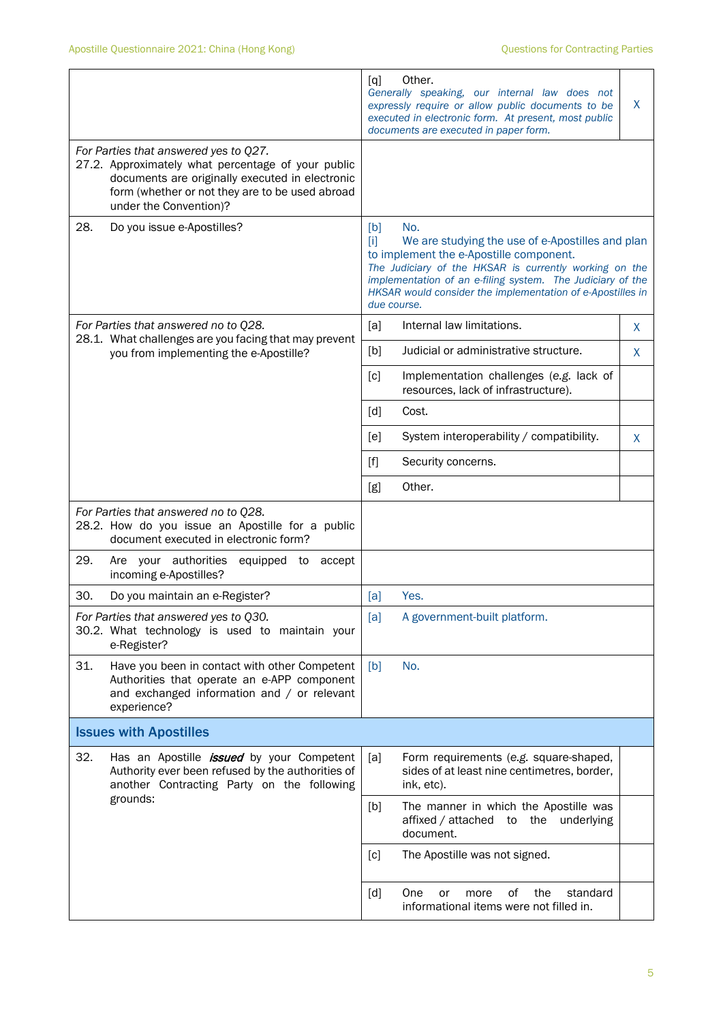|                                                                                                                                                                                                                             |                                                                                                                                                                 | [q]                         | Other.<br>Generally speaking, our internal law does not<br>expressly require or allow public documents to be<br>executed in electronic form. At present, most public<br>documents are executed in paper form.                                                                            | X  |
|-----------------------------------------------------------------------------------------------------------------------------------------------------------------------------------------------------------------------------|-----------------------------------------------------------------------------------------------------------------------------------------------------------------|-----------------------------|------------------------------------------------------------------------------------------------------------------------------------------------------------------------------------------------------------------------------------------------------------------------------------------|----|
| For Parties that answered yes to Q27.<br>27.2. Approximately what percentage of your public<br>documents are originally executed in electronic<br>form (whether or not they are to be used abroad<br>under the Convention)? |                                                                                                                                                                 |                             |                                                                                                                                                                                                                                                                                          |    |
| 28.                                                                                                                                                                                                                         | Do you issue e-Apostilles?                                                                                                                                      | [b]<br>$[1]$<br>due course. | No.<br>We are studying the use of e-Apostilles and plan<br>to implement the e-Apostille component.<br>The Judiciary of the HKSAR is currently working on the<br>implementation of an e-filing system. The Judiciary of the<br>HKSAR would consider the implementation of e-Apostilles in |    |
|                                                                                                                                                                                                                             | For Parties that answered no to Q28.                                                                                                                            | [a]                         | Internal law limitations.                                                                                                                                                                                                                                                                | X  |
|                                                                                                                                                                                                                             | 28.1. What challenges are you facing that may prevent<br>you from implementing the e-Apostille?                                                                 | [b]                         | Judicial or administrative structure.                                                                                                                                                                                                                                                    | X. |
|                                                                                                                                                                                                                             |                                                                                                                                                                 | [c]                         | Implementation challenges (e.g. lack of<br>resources, lack of infrastructure).                                                                                                                                                                                                           |    |
|                                                                                                                                                                                                                             |                                                                                                                                                                 | [d]                         | Cost.                                                                                                                                                                                                                                                                                    |    |
|                                                                                                                                                                                                                             |                                                                                                                                                                 | [ <sub>e</sub> ]            | System interoperability / compatibility.                                                                                                                                                                                                                                                 | X  |
|                                                                                                                                                                                                                             |                                                                                                                                                                 | [f]                         | Security concerns.                                                                                                                                                                                                                                                                       |    |
|                                                                                                                                                                                                                             |                                                                                                                                                                 | [g]                         | Other.                                                                                                                                                                                                                                                                                   |    |
| For Parties that answered no to Q28.<br>28.2. How do you issue an Apostille for a public<br>document executed in electronic form?                                                                                           |                                                                                                                                                                 |                             |                                                                                                                                                                                                                                                                                          |    |
| 29.                                                                                                                                                                                                                         | Are your authorities<br>equipped to<br>accept<br>incoming e-Apostilles?                                                                                         |                             |                                                                                                                                                                                                                                                                                          |    |
| 30.                                                                                                                                                                                                                         | Do you maintain an e-Register?                                                                                                                                  | [a]                         | Yes.                                                                                                                                                                                                                                                                                     |    |
| For Parties that answered yes to Q30.<br>30.2. What technology is used to maintain your<br>e-Register?                                                                                                                      |                                                                                                                                                                 | [a]                         | A government-built platform.                                                                                                                                                                                                                                                             |    |
| 31.                                                                                                                                                                                                                         | Have you been in contact with other Competent<br>Authorities that operate an e-APP component<br>and exchanged information and / or relevant<br>experience?      | [b]                         | No.                                                                                                                                                                                                                                                                                      |    |
| <b>Issues with Apostilles</b>                                                                                                                                                                                               |                                                                                                                                                                 |                             |                                                                                                                                                                                                                                                                                          |    |
| 32.                                                                                                                                                                                                                         | Has an Apostille <i>issued</i> by your Competent<br>Authority ever been refused by the authorities of<br>another Contracting Party on the following<br>grounds: | [a]                         | Form requirements (e.g. square-shaped,<br>sides of at least nine centimetres, border,<br>ink, etc).                                                                                                                                                                                      |    |
|                                                                                                                                                                                                                             |                                                                                                                                                                 | [b]                         | The manner in which the Apostille was<br>affixed / attached<br>underlying<br>the<br>to<br>document.                                                                                                                                                                                      |    |
|                                                                                                                                                                                                                             |                                                                                                                                                                 | [c]                         | The Apostille was not signed.                                                                                                                                                                                                                                                            |    |
|                                                                                                                                                                                                                             |                                                                                                                                                                 | [d]                         | οf<br>One<br>the<br>standard<br>or<br>more<br>informational items were not filled in.                                                                                                                                                                                                    |    |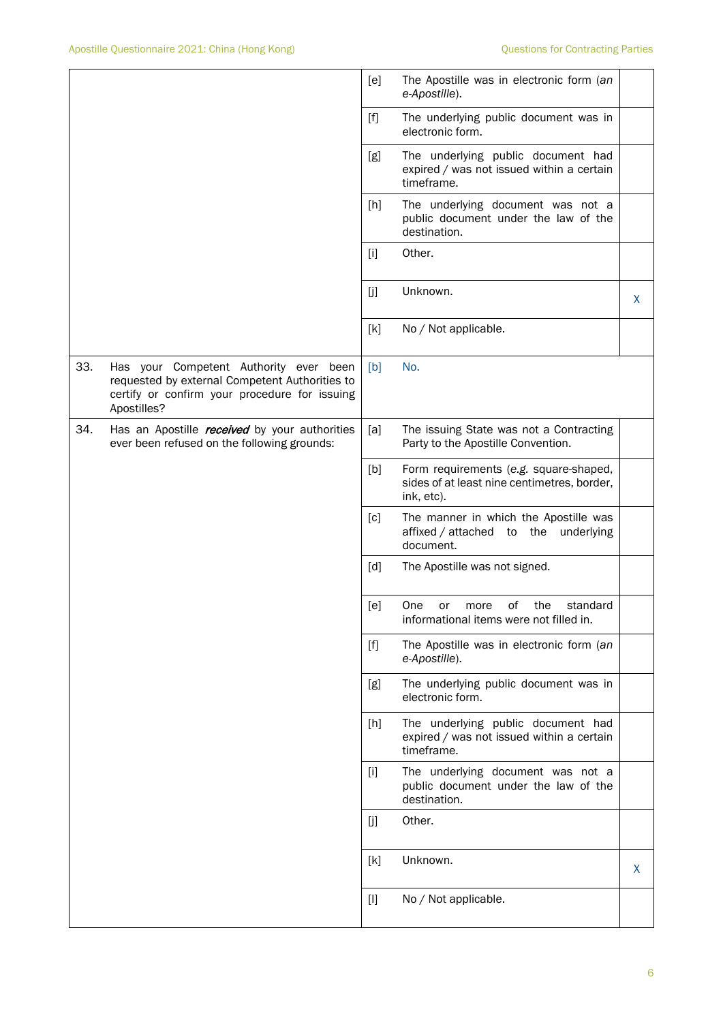|     |                                                                                                                                                          | [e]   | The Apostille was in electronic form (an<br>e-Apostille).                                           |   |
|-----|----------------------------------------------------------------------------------------------------------------------------------------------------------|-------|-----------------------------------------------------------------------------------------------------|---|
|     |                                                                                                                                                          | $[f]$ | The underlying public document was in<br>electronic form.                                           |   |
|     |                                                                                                                                                          | [g]   | The underlying public document had<br>expired / was not issued within a certain<br>timeframe.       |   |
|     |                                                                                                                                                          | [h]   | The underlying document was not a<br>public document under the law of the<br>destination.           |   |
|     |                                                                                                                                                          | $[1]$ | Other.                                                                                              |   |
|     |                                                                                                                                                          | [j]   | Unknown.                                                                                            | X |
|     |                                                                                                                                                          | [k]   | No / Not applicable.                                                                                |   |
| 33. | Has your Competent Authority ever been<br>requested by external Competent Authorities to<br>certify or confirm your procedure for issuing<br>Apostilles? | [b]   | No.                                                                                                 |   |
| 34. | Has an Apostille <i>received</i> by your authorities<br>ever been refused on the following grounds:                                                      | [a]   | The issuing State was not a Contracting<br>Party to the Apostille Convention.                       |   |
|     |                                                                                                                                                          | [b]   | Form requirements (e.g. square-shaped,<br>sides of at least nine centimetres, border,<br>ink, etc). |   |
|     |                                                                                                                                                          | [c]   | The manner in which the Apostille was<br>affixed / attached<br>underlying<br>the<br>to<br>document. |   |
|     |                                                                                                                                                          | [d]   | The Apostille was not signed.                                                                       |   |
|     |                                                                                                                                                          | [e]   | One<br>οf<br>the<br>standard<br>or<br>more<br>informational items were not filled in.               |   |
|     |                                                                                                                                                          | $[f]$ | The Apostille was in electronic form (an<br>e-Apostille).                                           |   |
|     |                                                                                                                                                          | [g]   | The underlying public document was in<br>electronic form.                                           |   |
|     |                                                                                                                                                          | [h]   | The underlying public document had<br>expired / was not issued within a certain<br>timeframe.       |   |
|     |                                                                                                                                                          | $[1]$ | The underlying document was not a<br>public document under the law of the<br>destination.           |   |
|     |                                                                                                                                                          | [j]   | Other.                                                                                              |   |
|     |                                                                                                                                                          | [k]   | Unknown.                                                                                            | X |
|     |                                                                                                                                                          | $[1]$ | No / Not applicable.                                                                                |   |